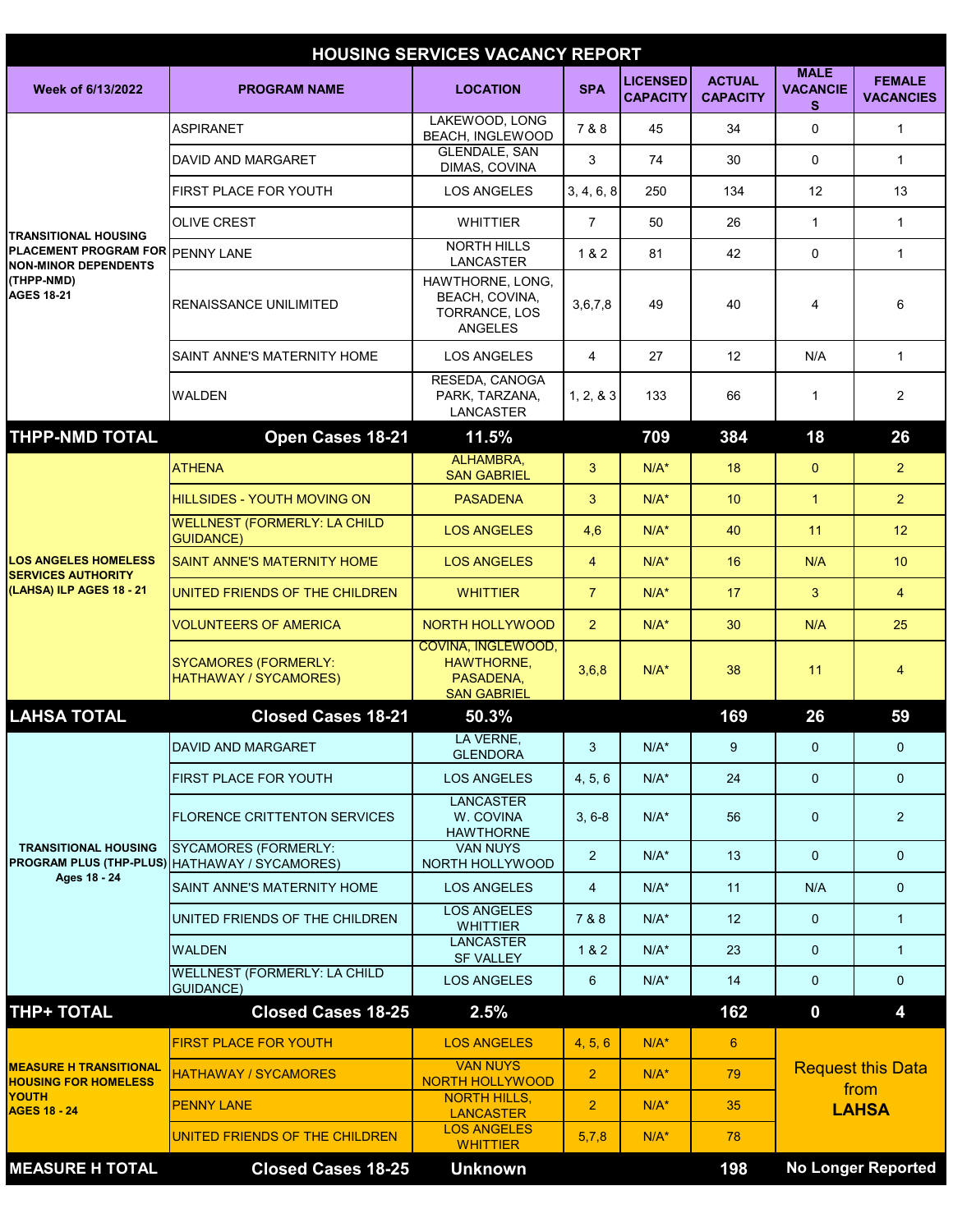| <b>HOUSING SERVICES VACANCY REPORT</b>                                                                                            |                                                                              |                                                                                   |                |                                    |                                  |                                                  |                                   |  |  |  |  |
|-----------------------------------------------------------------------------------------------------------------------------------|------------------------------------------------------------------------------|-----------------------------------------------------------------------------------|----------------|------------------------------------|----------------------------------|--------------------------------------------------|-----------------------------------|--|--|--|--|
| Week of 6/13/2022                                                                                                                 | <b>PROGRAM NAME</b>                                                          | <b>LOCATION</b>                                                                   | <b>SPA</b>     | <b>LICENSED</b><br><b>CAPACITY</b> | <b>ACTUAL</b><br><b>CAPACITY</b> | <b>MALE</b><br><b>VACANCIE</b><br>s              | <b>FEMALE</b><br><b>VACANCIES</b> |  |  |  |  |
| <b>TRANSITIONAL HOUSING</b><br>PLACEMENT PROGRAM FOR PENNY LANE<br><b>NON-MINOR DEPENDENTS</b><br>(THPP-NMD)<br><b>AGES 18-21</b> | <b>ASPIRANET</b>                                                             | LAKEWOOD, LONG<br><b>BEACH, INGLEWOOD</b>                                         | 7&8            | 45                                 | 34                               | $\Omega$                                         | $\mathbf{1}$                      |  |  |  |  |
|                                                                                                                                   | DAVID AND MARGARET                                                           | <b>GLENDALE, SAN</b><br>DIMAS, COVINA                                             | 3              | 74                                 | 30                               | $\mathbf 0$                                      | $\mathbf{1}$                      |  |  |  |  |
|                                                                                                                                   | <b>FIRST PLACE FOR YOUTH</b>                                                 | <b>LOS ANGELES</b>                                                                | 3, 4, 6, 8     | 250                                | 134                              | 12                                               | 13                                |  |  |  |  |
|                                                                                                                                   | <b>OLIVE CREST</b>                                                           | <b>WHITTIER</b>                                                                   | $\overline{7}$ | 50                                 | 26                               | $\mathbf{1}$                                     | $\mathbf{1}$                      |  |  |  |  |
|                                                                                                                                   |                                                                              | <b>NORTH HILLS</b><br>LANCASTER                                                   | 1&2            | 81                                 | 42                               | $\Omega$                                         | $\mathbf{1}$                      |  |  |  |  |
|                                                                                                                                   | <b>RENAISSANCE UNILIMITED</b>                                                | HAWTHORNE, LONG,<br>BEACH, COVINA,<br>TORRANCE, LOS<br><b>ANGELES</b>             | 3,6,7,8        | 49                                 | 40                               | 4                                                | 6                                 |  |  |  |  |
|                                                                                                                                   | SAINT ANNE'S MATERNITY HOME                                                  | <b>LOS ANGELES</b>                                                                | 4              | 27                                 | 12                               | N/A                                              | $\mathbf{1}$                      |  |  |  |  |
|                                                                                                                                   | <b>WALDEN</b>                                                                | RESEDA. CANOGA<br>PARK, TARZANA,<br><b>LANCASTER</b>                              | 1, 2, 8, 3     | 133                                | 66                               | $\mathbf{1}$                                     | $\overline{2}$                    |  |  |  |  |
| <b>THPP-NMD TOTAL</b>                                                                                                             | Open Cases 18-21                                                             | 11.5%                                                                             |                | 709                                | 384                              | 18                                               | 26                                |  |  |  |  |
|                                                                                                                                   | <b>ATHENA</b>                                                                | ALHAMBRA,<br><b>SAN GABRIEL</b>                                                   | 3              | $N/A^*$                            | 18                               | $\mathbf{0}$                                     | $\overline{2}$                    |  |  |  |  |
| <b>LOS ANGELES HOMELESS</b><br><b>SERVICES AUTHORITY</b><br>(LAHSA) ILP AGES 18 - 21                                              | <b>HILLSIDES - YOUTH MOVING ON</b>                                           | <b>PASADENA</b>                                                                   | 3              | $N/A^*$                            | 10                               | $\overline{1}$                                   | $\overline{2}$                    |  |  |  |  |
|                                                                                                                                   | <b>WELLNEST (FORMERLY: LA CHILD</b><br><b>GUIDANCE)</b>                      | <b>LOS ANGELES</b>                                                                | 4,6            | $N/A^*$                            | 40                               | 11                                               | 12                                |  |  |  |  |
|                                                                                                                                   | <b>SAINT ANNE'S MATERNITY HOME</b>                                           | <b>LOS ANGELES</b>                                                                | $\overline{4}$ | $N/A^*$                            | 16                               | N/A                                              | 10                                |  |  |  |  |
|                                                                                                                                   | UNITED FRIENDS OF THE CHILDREN                                               | <b>WHITTIER</b>                                                                   | $\overline{7}$ | $N/A^*$                            | 17                               | 3                                                | $\overline{4}$                    |  |  |  |  |
|                                                                                                                                   | <b>VOLUNTEERS OF AMERICA</b>                                                 | NORTH HOLLYWOOD                                                                   | $\overline{2}$ | $N/A^*$                            | 30                               | N/A                                              | 25                                |  |  |  |  |
|                                                                                                                                   | <b>SYCAMORES (FORMERLY:</b><br><b>HATHAWAY / SYCAMORES)</b>                  | <b>COVINA, INGLEWOOD.</b><br><b>HAWTHORNE.</b><br>PASADENA,<br><b>SAN GABRIEL</b> | 3,6,8          | $N/A^*$                            | 38                               | 11                                               | 4                                 |  |  |  |  |
| <b>LAHSA TOTAL</b>                                                                                                                | <b>Closed Cases 18-21</b>                                                    | 50.3%                                                                             |                |                                    | 169                              | 26                                               | 59                                |  |  |  |  |
|                                                                                                                                   | DAVID AND MARGARET                                                           | LA VERNE.<br><b>GLENDORA</b>                                                      | 3              | $N/A^*$                            | 9                                | $\mathbf{0}$                                     | $\mathbf{0}$                      |  |  |  |  |
|                                                                                                                                   | <b>FIRST PLACE FOR YOUTH</b>                                                 | <b>LOS ANGELES</b>                                                                | 4, 5, 6        | $N/A^*$                            | 24                               | $\mathbf{0}$                                     | $\mathbf{0}$                      |  |  |  |  |
| <b>TRANSITIONAL HOUSING</b><br>Ages 18 - 24                                                                                       | <b>FLORENCE CRITTENTON SERVICES</b>                                          | <b>LANCASTER</b><br>W. COVINA<br><b>HAWTHORNE</b>                                 | $3, 6-8$       | $N/A^*$                            | 56                               | $\mathbf 0$                                      | $\overline{2}$                    |  |  |  |  |
|                                                                                                                                   | <b>SYCAMORES (FORMERLY:</b><br>PROGRAM PLUS (THP-PLUS) HATHAWAY / SYCAMORES) | <b>VAN NUYS</b><br>NORTH HOLLYWOOD                                                | $\overline{2}$ | $N/A^*$                            | 13                               | $\mathbf{0}$                                     | $\overline{0}$                    |  |  |  |  |
|                                                                                                                                   | SAINT ANNE'S MATERNITY HOME                                                  | <b>LOS ANGELES</b>                                                                | $\overline{4}$ | $N/A^*$                            | 11                               | N/A                                              | $\overline{0}$                    |  |  |  |  |
|                                                                                                                                   | UNITED FRIENDS OF THE CHILDREN                                               | <b>LOS ANGELES</b><br><b>WHITTIER</b>                                             | 7 & 8          | $N/A^*$                            | 12                               | $\mathbf{0}$                                     | $\mathbf{1}$                      |  |  |  |  |
|                                                                                                                                   | <b>WALDEN</b>                                                                | <b>LANCASTER</b><br><b>SF VALLEY</b>                                              | 1 & 2          | $N/A^*$                            | 23                               | $\mathbf{0}$                                     | $\mathbf{1}$                      |  |  |  |  |
|                                                                                                                                   | <b>WELLNEST (FORMERLY: LA CHILD</b><br><b>GUIDANCE)</b>                      | <b>LOS ANGELES</b>                                                                | 6              | $N/A^*$                            | 14                               | $\mathbf 0$                                      | $\overline{0}$                    |  |  |  |  |
| <b>THP+ TOTAL</b>                                                                                                                 | <b>Closed Cases 18-25</b>                                                    | 2.5%                                                                              |                |                                    | 162                              | $\boldsymbol{0}$                                 | 4                                 |  |  |  |  |
| <b>MEASURE H TRANSITIONAL</b><br><b>HOUSING FOR HOMELESS</b><br><b>YOUTH</b><br><b>AGES 18 - 24</b>                               | <b>FIRST PLACE FOR YOUTH</b>                                                 | <b>LOS ANGELES</b>                                                                | 4, 5, 6        | $N/A^*$                            | 6                                | <b>Request this Data</b><br>from<br><b>LAHSA</b> |                                   |  |  |  |  |
|                                                                                                                                   | <b>HATHAWAY / SYCAMORES</b>                                                  | <b>VAN NUYS</b><br><b>NORTH HOLLYWOOD</b>                                         | $\overline{2}$ | $N/A^*$                            | 79                               |                                                  |                                   |  |  |  |  |
|                                                                                                                                   | <b>PENNY LANE</b>                                                            | <b>NORTH HILLS,</b><br><b>LANCASTER</b>                                           | 2 <sup>1</sup> | $N/A^*$                            | 35                               |                                                  |                                   |  |  |  |  |
|                                                                                                                                   | UNITED FRIENDS OF THE CHILDREN                                               | <b>LOS ANGELES</b><br><b>WHITTIER</b>                                             | 5,7,8          | $N/A^*$                            | 78                               |                                                  |                                   |  |  |  |  |
| <b>MEASURE H TOTAL</b>                                                                                                            | <b>Closed Cases 18-25</b>                                                    | <b>Unknown</b>                                                                    |                |                                    | 198                              |                                                  | <b>No Longer Reported</b>         |  |  |  |  |